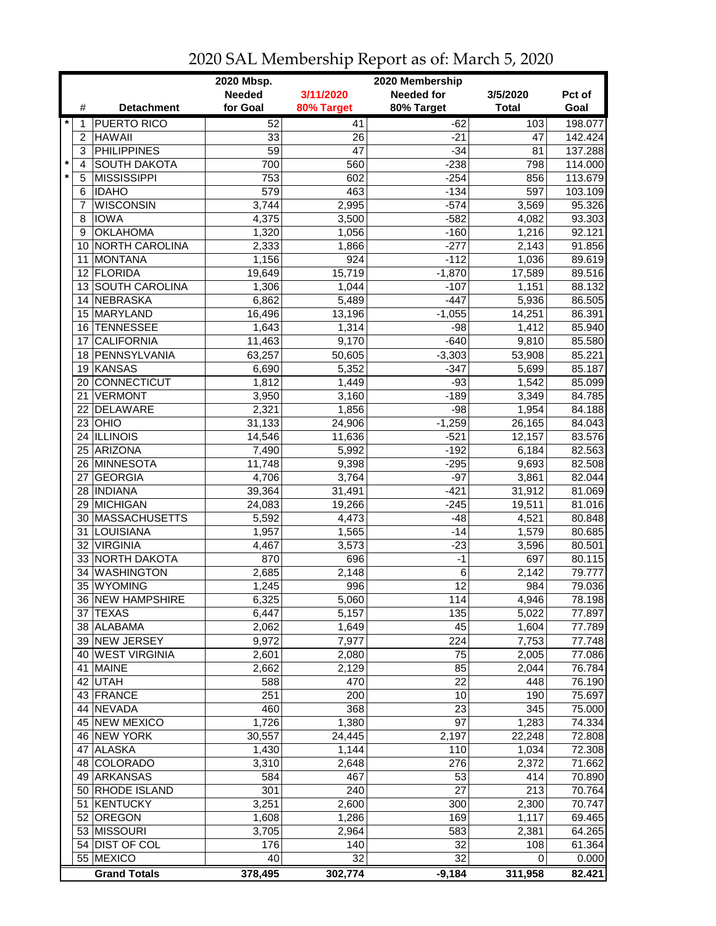|         |                |                          | 2020 Mbsp.      |                 | 2020 Membership   |              |                  |
|---------|----------------|--------------------------|-----------------|-----------------|-------------------|--------------|------------------|
|         |                |                          | <b>Needed</b>   | 3/11/2020       | <b>Needed for</b> | 3/5/2020     | Pct of           |
|         | #              | <b>Detachment</b>        | for Goal        | 80% Target      | 80% Target        | <b>Total</b> | Goal             |
| $\star$ | 1              | <b>PUERTO RICO</b>       | 52              | $\overline{41}$ | $-62$             | 103          | 198.077          |
|         | $\overline{c}$ | <b>HAWAII</b>            | 33              | 26              | $-21$             | 47           | 142.424          |
|         | 3              | <b>PHILIPPINES</b>       | $\overline{59}$ | $\overline{47}$ | $-34$             | 81           | 137.288          |
| $\star$ | 4              | <b>SOUTH DAKOTA</b>      | 700             | 560             | $-238$            | 798          | 114.000          |
|         | 5              | <b>MISSISSIPPI</b>       | 753             | 602             | $-254$            | 856          | 113.679          |
|         | 6              | <b>IDAHO</b>             | 579             | 463             | $-134$            | 597          | 103.109          |
|         | 7              | <b>WISCONSIN</b>         | 3,744           | 2,995           | $-574$            | 3,569        | 95.326           |
|         | 8              | <b>IOWA</b>              | 4,375           | 3,500           | $-582$            | 4,082        | 93.303           |
|         | 9              | <b>OKLAHOMA</b>          | 1,320           | 1,056           | $-160$            | 1,216        | 92.121           |
|         | 10             | <b>NORTH CAROLINA</b>    | 2,333           | 1,866           | $-277$            | 2,143        | 91.856           |
|         | 11             | <b>MONTANA</b>           | 1,156           | 924             | $-112$            | 1,036        | 89.619           |
|         |                | 12 FLORIDA               | 19,649          | 15,719          | $-1,870$          | 17,589       | 89.516           |
|         |                | 13 SOUTH CAROLINA        | 1,306           | 1,044           | $-107$            | 1,151        | 88.132           |
|         | 14             | NEBRASKA                 | 6,862           | 5,489           | $-447$            | 5,936        | 86.505           |
|         |                | 15 MARYLAND              | 16,496          | 13,196          | $-1,055$          | 14,251       | 86.391           |
|         |                | <b>TENNESSEE</b>         |                 |                 |                   |              | 85.940           |
|         | 16<br>17       | <b>CALIFORNIA</b>        | 1,643           | 1,314           | $-98$<br>$-640$   | 1,412        |                  |
|         |                | PENNSYLVANIA             | 11,463          | 9,170           |                   | 9,810        | 85.580<br>85.221 |
|         | 18             |                          | 63,257          | 50,605          | $-3,303$          | 53,908       |                  |
|         | 19             | KANSAS<br>20 CONNECTICUT | 6,690           | 5,352           | $-347$            | 5,699        | 85.187           |
|         |                |                          | 1,812           | 1,449           | $-93$             | 1,542        | 85.099           |
|         | 21             | <b>VERMONT</b>           | 3,950           | 3,160           | $-189$            | 3,349        | 84.785           |
|         |                | 22 DELAWARE              | 2,321           | 1,856           | $-98$             | 1,954        | 84.188           |
|         |                | $23$ OHIO                | 31,133          | 24,906          | $-1,259$          | 26,165       | 84.043           |
|         |                | 24 ILLINOIS              | 14,546          | 11,636          | $-521$            | 12,157       | 83.576           |
|         |                | 25 ARIZONA               | 7,490           | 5,992           | $-192$            | 6,184        | 82.563           |
|         |                | 26 MINNESOTA             | 11,748          | 9,398           | $-295$            | 9,693        | 82.508           |
|         | 27             | <b>GEORGIA</b>           | 4,706           | 3,764           | $-97$             | 3,861        | 82.044           |
|         |                | 28   INDIANA             | 39,364          | 31,491          | $-421$            | 31,912       | 81.069           |
|         | 29             | <b>MICHIGAN</b>          | 24,083          | 19,266          | $-245$            | 19,511       | 81.016           |
|         | 30             | MASSACHUSETTS            | 5,592           | 4,473           | $-48$             | 4,521        | 80.848           |
|         | 31             | LOUISIANA                | 1,957           | 1,565           | $-14$             | 1,579        | 80.685           |
|         |                | 32 VIRGINIA              | 4,467           | 3,573           | $-23$             | 3,596        | 80.501           |
|         |                | 33 NORTH DAKOTA          | 870             | 696             | $-1$              | 697          | 80.115           |
|         | 34             | <b>WASHINGTON</b>        | 2,685           | 2,148           | 6                 | 2,142        | 79.777           |
|         |                | 35 WYOMING               | 1,245           | 996             | $\overline{12}$   | 984          | 79.036           |
|         |                | 36 NEW HAMPSHIRE         | 6,325           | 5,060           | 114               | 4,946        | 78.198           |
|         |                | 37 TEXAS                 | 6,447           | 5,157           | 135               | 5,022        | 77.897           |
|         |                | 38 ALABAMA               | 2,062           | 1,649           | 45                | 1,604        | 77.789           |
|         |                | 39 NEW JERSEY            | 9,972           | 7,977           | 224               | 7,753        | 77.748           |
|         |                | 40 WEST VIRGINIA         | 2,601           | 2,080           | 75                | 2,005        | 77.086           |
|         |                | 41 MAINE                 | 2,662           | 2,129           | 85                | 2,044        | 76.784           |
|         |                | 42 UTAH                  | 588             | 470             | 22                | 448          | 76.190           |
|         |                | 43 FRANCE                | 251             | 200             | 10                | 190          | 75.697           |
|         |                | 44 NEVADA                | 460             | 368             | 23                | 345          | 75.000           |
|         |                | 45 NEW MEXICO            | 1,726           | 1,380           | 97                | 1,283        | 74.334           |
|         |                | 46 NEW YORK              | 30,557          | 24,445          | 2,197             | 22,248       | 72.808           |
|         | 47             | <b>ALASKA</b>            | 1,430           | 1,144           | 110               | 1,034        | 72.308           |
|         |                | 48 COLORADO              | 3,310           | 2,648           | 276               | 2,372        | 71.662           |
|         |                | 49 ARKANSAS              | 584             | 467             | 53                | 414          | 70.890           |
|         |                | 50 RHODE ISLAND          | 301             | 240             | 27                | 213          | 70.764           |
|         | 51             | <b>KENTUCKY</b>          | 3,251           | 2,600           | 300               | 2,300        | 70.747           |
|         |                | 52 OREGON                | 1,608           | 1,286           | 169               | 1,117        | 69.465           |
|         |                | 53 MISSOURI              | 3,705           | 2,964           | 583               | 2,381        | 64.265           |
|         |                | 54 DIST OF COL           | 176             | 140             | 32                | 108          | 61.364           |
|         |                | 55 MEXICO                | 40              | 32              | $\overline{32}$   | 0            | 0.000            |
|         |                | <b>Grand Totals</b>      | 378,495         | 302,774         | $-9,184$          | 311,958      | 82.421           |

2020 SAL Membership Report as of: March 5, 2020